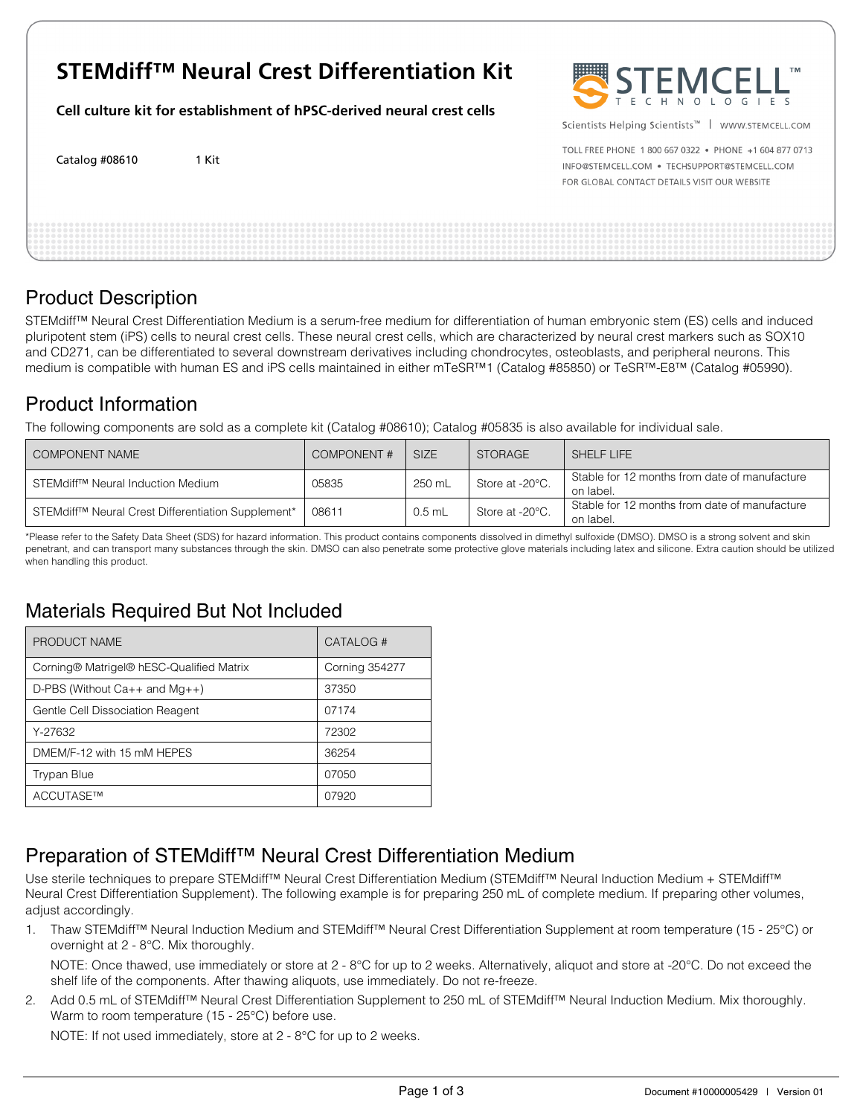# **STEMdiff™ Neural Crest Differentiation Kit**

**Cell culture kit for establishment of hPSC-derived neural crest cells**

Catalog #08610 1 Kit



Scientists Helping Scientists™ | WWW.STEMCELL.COM

TOLL FREE PHONE 1 800 667 0322 . PHONE +1 604 877 0713 INFO@STEMCELL.COM . TECHSUPPORT@STEMCELL.COM FOR GLOBAL CONTACT DETAILS VISIT OUR WEBSITE

| $\sim$ |  | . . |  |  |  |  |
|--------|--|-----|--|--|--|--|

## Product Description

STEMdiff™ Neural Crest Differentiation Medium is a serum-free medium for differentiation of human embryonic stem (ES) cells and induced pluripotent stem (iPS) cells to neural crest cells. These neural crest cells, which are characterized by neural crest markers such as SOX10 and CD271, can be differentiated to several downstream derivatives including chondrocytes, osteoblasts, and peripheral neurons. This medium is compatible with human ES and iPS cells maintained in either mTeSR™1 (Catalog #85850) or TeSR™-E8™ (Catalog #05990).

## Product Information

The following components are sold as a complete kit (Catalog #08610); Catalog #05835 is also available for individual sale.

| COMPONENT NAME                                                             | COMPONENT# | <b>SIZE</b> | <b>STORAGE</b>  | SHELF LIFE                                                 |
|----------------------------------------------------------------------------|------------|-------------|-----------------|------------------------------------------------------------|
| STEMdiff <sup>™</sup> Neural Induction Medium                              | 05835      | 250 mL      | Store at -20°C. | Stable for 12 months from date of manufacture<br>on label. |
| STEMdiff <sup>™</sup> Neural Crest Differentiation Supplement <sup>*</sup> | 08611      | $0.5$ mL    | Store at -20°C. | Stable for 12 months from date of manufacture<br>on label. |

\*Please refer to the Safety Data Sheet (SDS) for hazard information. This product contains components dissolved in dimethyl sulfoxide (DMSO). DMSO is a strong solvent and skin penetrant, and can transport many substances through the skin. DMSO can also penetrate some protective glove materials including latex and silicone. Extra caution should be utilized when handling this product.

## Materials Required But Not Included

| PRODUCT NAME                             | CATALOG#              |  |  |
|------------------------------------------|-----------------------|--|--|
| Corning® Matrigel® hESC-Qualified Matrix | <b>Corning 354277</b> |  |  |
| $D-PBS$ (Without $Ca++$ and $Mq++$ )     | 37350                 |  |  |
| Gentle Cell Dissociation Reagent         | 07174                 |  |  |
| Y-27632                                  | 72302                 |  |  |
| DMEM/F-12 with 15 mM HEPES               | 36254                 |  |  |
| <b>Trypan Blue</b>                       | 07050                 |  |  |
| ACCUTASE™                                | 07920                 |  |  |

## Preparation of STEMdiff™ Neural Crest Differentiation Medium

Use sterile techniques to prepare STEMdiff™ Neural Crest Differentiation Medium (STEMdiff™ Neural Induction Medium + STEMdiff™ Neural Crest Differentiation Supplement). The following example is for preparing 250 mL of complete medium. If preparing other volumes, adjust accordingly.

1. Thaw STEMdiff™ Neural Induction Medium and STEMdiff™ Neural Crest Differentiation Supplement at room temperature (15 - 25°C) or overnight at 2 - 8°C. Mix thoroughly.

NOTE: Once thawed, use immediately or store at 2 - 8°C for up to 2 weeks. Alternatively, aliquot and store at -20°C. Do not exceed the shelf life of the components. After thawing aliquots, use immediately. Do not re-freeze.

2. Add 0.5 mL of STEMdiff™ Neural Crest Differentiation Supplement to 250 mL of STEMdiff™ Neural Induction Medium. Mix thoroughly. Warm to room temperature (15 - 25°C) before use.

NOTE: If not used immediately, store at 2 - 8°C for up to 2 weeks.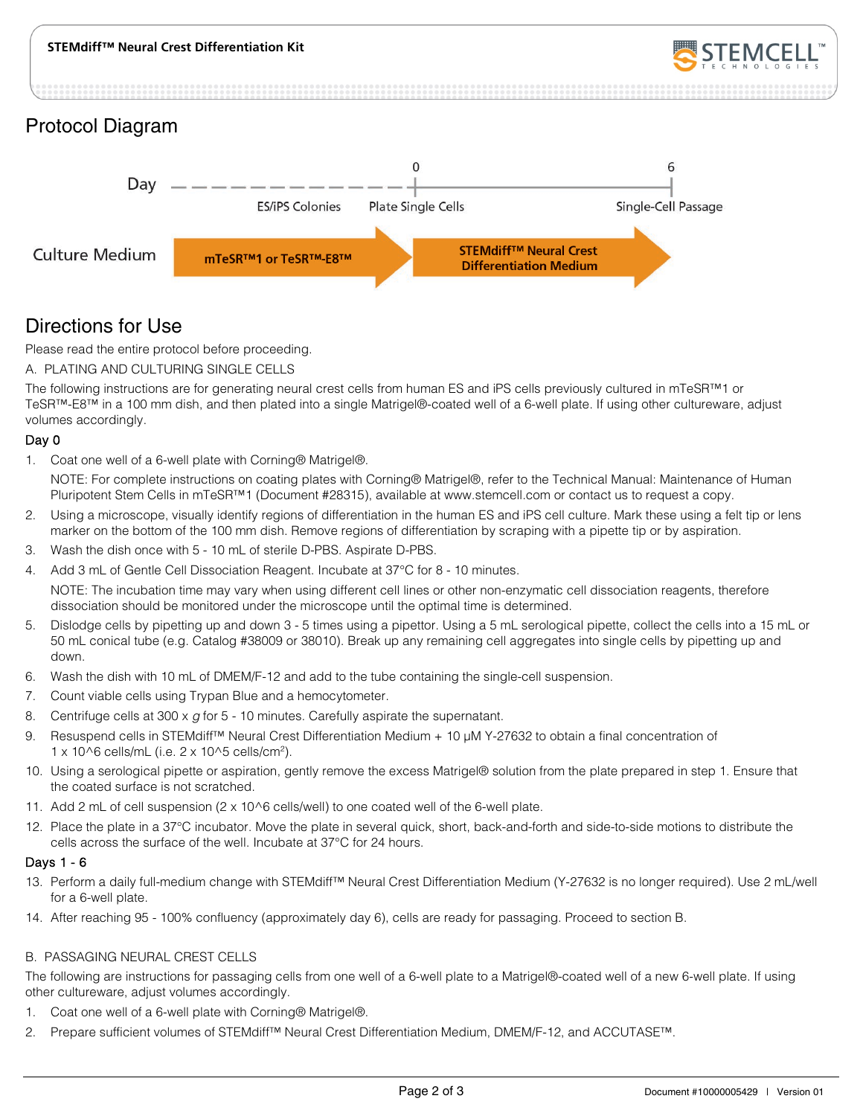

#### Protocol Diagram



### Directions for Use

Please read the entire protocol before proceeding.

A. PLATING AND CULTURING SINGLE CELLS

The following instructions are for generating neural crest cells from human ES and iPS cells previously cultured in mTeSR™1 or TeSR™-E8™ in a 100 mm dish, and then plated into a single Matrigel®-coated well of a 6-well plate. If using other cultureware, adjust volumes accordingly.

#### Day 0

1. Coat one well of a 6-well plate with Corning® Matrigel®.

NOTE: For complete instructions on coating plates with Corning® Matrigel®, refer to the Technical Manual: Maintenance of Human Pluripotent Stem Cells in mTeSR™1 (Document #28315), available at www.stemcell.com or contact us to request a copy.

- 2. Using a microscope, visually identify regions of differentiation in the human ES and iPS cell culture. Mark these using a felt tip or lens marker on the bottom of the 100 mm dish. Remove regions of differentiation by scraping with a pipette tip or by aspiration.
- 3. Wash the dish once with 5 10 mL of sterile D-PBS. Aspirate D-PBS.
- 4. Add 3 mL of Gentle Cell Dissociation Reagent. Incubate at 37°C for 8 10 minutes.

NOTE: The incubation time may vary when using different cell lines or other non-enzymatic cell dissociation reagents, therefore dissociation should be monitored under the microscope until the optimal time is determined.

- 5. Dislodge cells by pipetting up and down 3 5 times using a pipettor. Using a 5 mL serological pipette, collect the cells into a 15 mL or 50 mL conical tube (e.g. Catalog #38009 or 38010). Break up any remaining cell aggregates into single cells by pipetting up and down.
- 6. Wash the dish with 10 mL of DMEM/F-12 and add to the tube containing the single-cell suspension.
- 7. Count viable cells using Trypan Blue and a hemocytometer.
- 8. Centrifuge cells at 300 x *g* for 5 10 minutes. Carefully aspirate the supernatant.
- 9. Resuspend cells in STEMdiff™ Neural Crest Differentiation Medium + 10 µM Y-27632 to obtain a final concentration of 1 x 10^6 cells/mL (i.e. 2 x 10^5 cells/cm2).
- 10. Using a serological pipette or aspiration, gently remove the excess Matrigel® solution from the plate prepared in step 1. Ensure that the coated surface is not scratched.
- 11. Add 2 mL of cell suspension (2 x 10^6 cells/well) to one coated well of the 6-well plate.
- 12. Place the plate in a 37°C incubator. Move the plate in several quick, short, back-and-forth and side-to-side motions to distribute the cells across the surface of the well. Incubate at 37°C for 24 hours.

#### Days 1 - 6

- 13. Perform a daily full-medium change with STEMdiff™ Neural Crest Differentiation Medium (Y-27632 is no longer required). Use 2 mL/well for a 6-well plate.
- 14. After reaching 95 100% confluency (approximately day 6), cells are ready for passaging. Proceed to section B.

#### B. PASSAGING NEURAL CREST CELLS

The following are instructions for passaging cells from one well of a 6-well plate to a Matrigel®-coated well of a new 6-well plate. If using other cultureware, adjust volumes accordingly.

- 1. Coat one well of a 6-well plate with Corning® Matrigel®.
- 2. Prepare sufficient volumes of STEMdiff™ Neural Crest Differentiation Medium, DMEM/F-12, and ACCUTASE™.